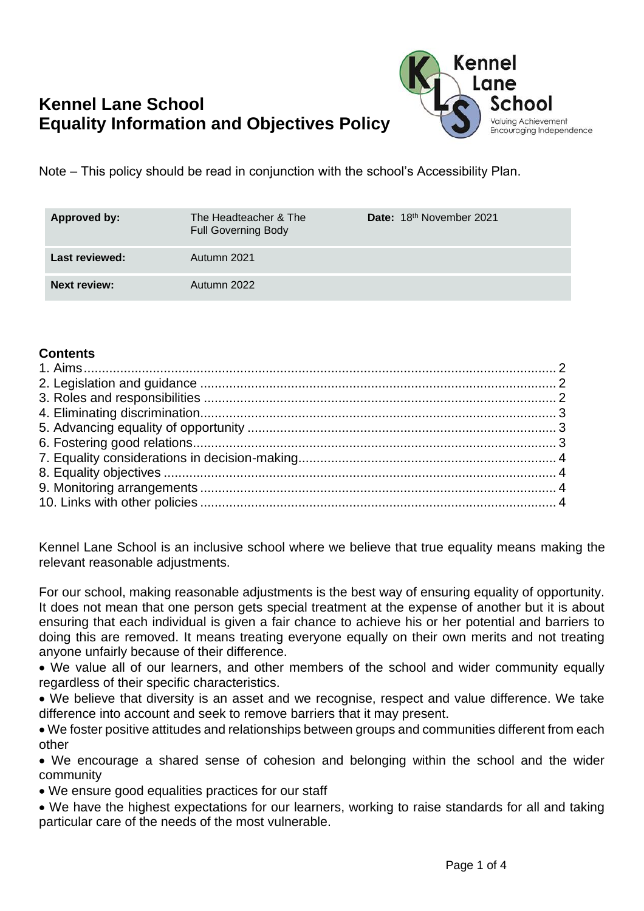# **Kennel Lane School Equality Information and Objectives Policy**



Note – This policy should be read in conjunction with the school's Accessibility Plan.

| Approved by:        | The Headteacher & The<br><b>Full Governing Body</b> | Date: 18th November 2021 |
|---------------------|-----------------------------------------------------|--------------------------|
| Last reviewed:      | Autumn 2021                                         |                          |
| <b>Next review:</b> | Autumn 2022                                         |                          |

#### **Contents**

Kennel Lane School is an inclusive school where we believe that true equality means making the relevant reasonable adjustments.

For our school, making reasonable adjustments is the best way of ensuring equality of opportunity. It does not mean that one person gets special treatment at the expense of another but it is about ensuring that each individual is given a fair chance to achieve his or her potential and barriers to doing this are removed. It means treating everyone equally on their own merits and not treating anyone unfairly because of their difference.

• We value all of our learners, and other members of the school and wider community equally regardless of their specific characteristics.

• We believe that diversity is an asset and we recognise, respect and value difference. We take difference into account and seek to remove barriers that it may present.

• We foster positive attitudes and relationships between groups and communities different from each other

• We encourage a shared sense of cohesion and belonging within the school and the wider community

• We ensure good equalities practices for our staff

<span id="page-0-0"></span>• We have the highest expectations for our learners, working to raise standards for all and taking particular care of the needs of the most vulnerable.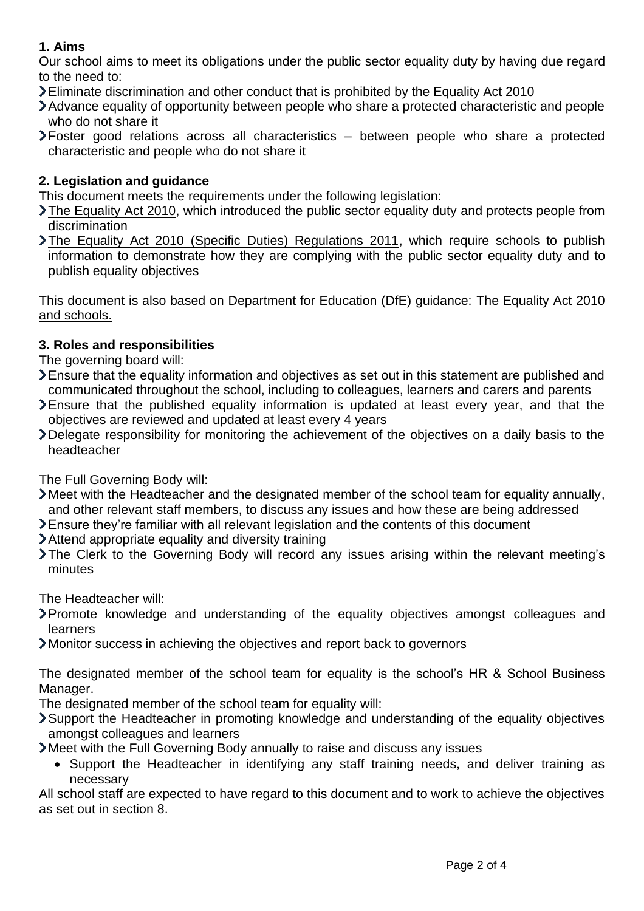## **1. Aims**

Our school aims to meet its obligations under the public sector equality duty by having due regard to the need to:

- Eliminate discrimination and other conduct that is prohibited by the Equality Act 2010
- Advance equality of opportunity between people who share a protected characteristic and people who do not share it
- Foster good relations across all characteristics between people who share a protected characteristic and people who do not share it

# <span id="page-1-0"></span>**2. Legislation and guidance**

This document meets the requirements under the following legislation:

- [The Equality Act 2010,](http://www.legislation.gov.uk/ukpga/2010/15/contents) which introduced the public sector equality duty and protects people from discrimination
- [The Equality Act 2010 \(Specific Duties\) Regulations 2011,](http://www.legislation.gov.uk/uksi/2011/2260/contents/made) which require schools to publish information to demonstrate how they are complying with the public sector equality duty and to publish equality objectives

This document is also based on Department for Education (DfE) guidance: [The Equality Act 2010](https://www.gov.uk/government/publications/equality-act-2010-advice-for-schools)  [and schools.](https://www.gov.uk/government/publications/equality-act-2010-advice-for-schools) 

## <span id="page-1-1"></span>**3. Roles and responsibilities**

The governing board will:

- Ensure that the equality information and objectives as set out in this statement are published and communicated throughout the school, including to colleagues, learners and carers and parents
- Ensure that the published equality information is updated at least every year, and that the objectives are reviewed and updated at least every 4 years
- Delegate responsibility for monitoring the achievement of the objectives on a daily basis to the headteacher

The Full Governing Body will:

- Meet with the Headteacher and the designated member of the school team for equality annually, and other relevant staff members, to discuss any issues and how these are being addressed
- Ensure they're familiar with all relevant legislation and the contents of this document
- Attend appropriate equality and diversity training
- The Clerk to the Governing Body will record any issues arising within the relevant meeting's minutes

The Headteacher will:

- Promote knowledge and understanding of the equality objectives amongst colleagues and learners
- Monitor success in achieving the objectives and report back to governors

The designated member of the school team for equality is the school's HR & School Business Manager.

The designated member of the school team for equality will:

Support the Headteacher in promoting knowledge and understanding of the equality objectives amongst colleagues and learners

Meet with the Full Governing Body annually to raise and discuss any issues

• Support the Headteacher in identifying any staff training needs, and deliver training as necessary

<span id="page-1-2"></span>All school staff are expected to have regard to this document and to work to achieve the objectives as set out in section 8.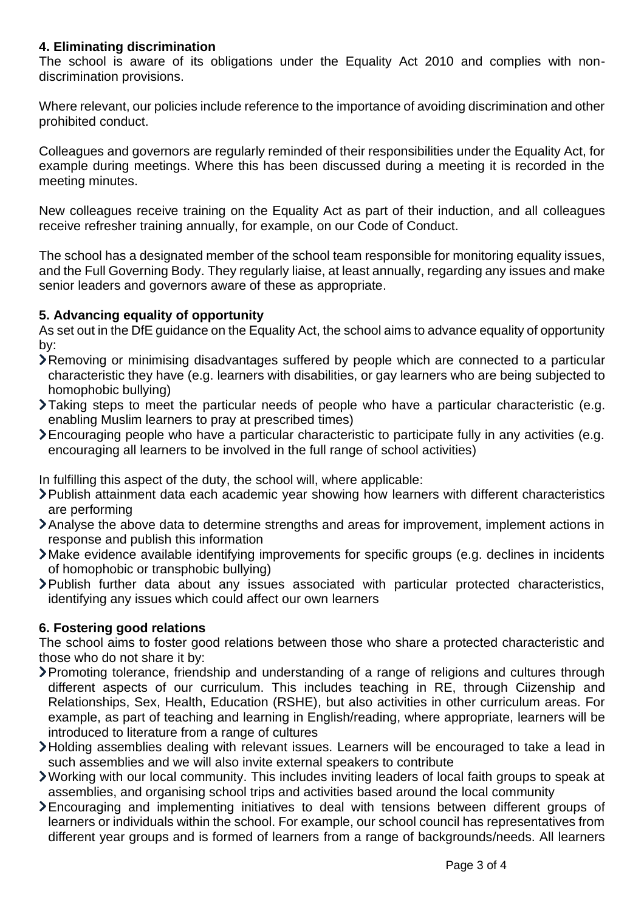### **4. Eliminating discrimination**

The school is aware of its obligations under the Equality Act 2010 and complies with nondiscrimination provisions.

Where relevant, our policies include reference to the importance of avoiding discrimination and other prohibited conduct.

Colleagues and governors are regularly reminded of their responsibilities under the Equality Act, for example during meetings. Where this has been discussed during a meeting it is recorded in the meeting minutes.

New colleagues receive training on the Equality Act as part of their induction, and all colleagues receive refresher training annually, for example, on our Code of Conduct.

The school has a designated member of the school team responsible for monitoring equality issues, and the Full Governing Body. They regularly liaise, at least annually, regarding any issues and make senior leaders and governors aware of these as appropriate.

#### <span id="page-2-0"></span>**5. Advancing equality of opportunity**

As set out in the DfE guidance on the Equality Act, the school aims to advance equality of opportunity by:

- Removing or minimising disadvantages suffered by people which are connected to a particular characteristic they have (e.g. learners with disabilities, or gay learners who are being subjected to homophobic bullying)
- Taking steps to meet the particular needs of people who have a particular characteristic (e.g. enabling Muslim learners to pray at prescribed times)
- Encouraging people who have a particular characteristic to participate fully in any activities (e.g. encouraging all learners to be involved in the full range of school activities)

In fulfilling this aspect of the duty, the school will, where applicable:

- Publish attainment data each academic year showing how learners with different characteristics are performing
- Analyse the above data to determine strengths and areas for improvement, implement actions in response and publish this information
- Make evidence available identifying improvements for specific groups (e.g. declines in incidents of homophobic or transphobic bullying)
- Publish further data about any issues associated with particular protected characteristics, identifying any issues which could affect our own learners

## <span id="page-2-1"></span>**6. Fostering good relations**

The school aims to foster good relations between those who share a protected characteristic and those who do not share it by:

- Promoting tolerance, friendship and understanding of a range of religions and cultures through different aspects of our curriculum. This includes teaching in RE, through Ciizenship and Relationships, Sex, Health, Education (RSHE), but also activities in other curriculum areas. For example, as part of teaching and learning in English/reading, where appropriate, learners will be introduced to literature from a range of cultures
- Holding assemblies dealing with relevant issues. Learners will be encouraged to take a lead in such assemblies and we will also invite external speakers to contribute
- Working with our local community. This includes inviting leaders of local faith groups to speak at assemblies, and organising school trips and activities based around the local community
- Encouraging and implementing initiatives to deal with tensions between different groups of learners or individuals within the school. For example, our school council has representatives from different year groups and is formed of learners from a range of backgrounds/needs. All learners